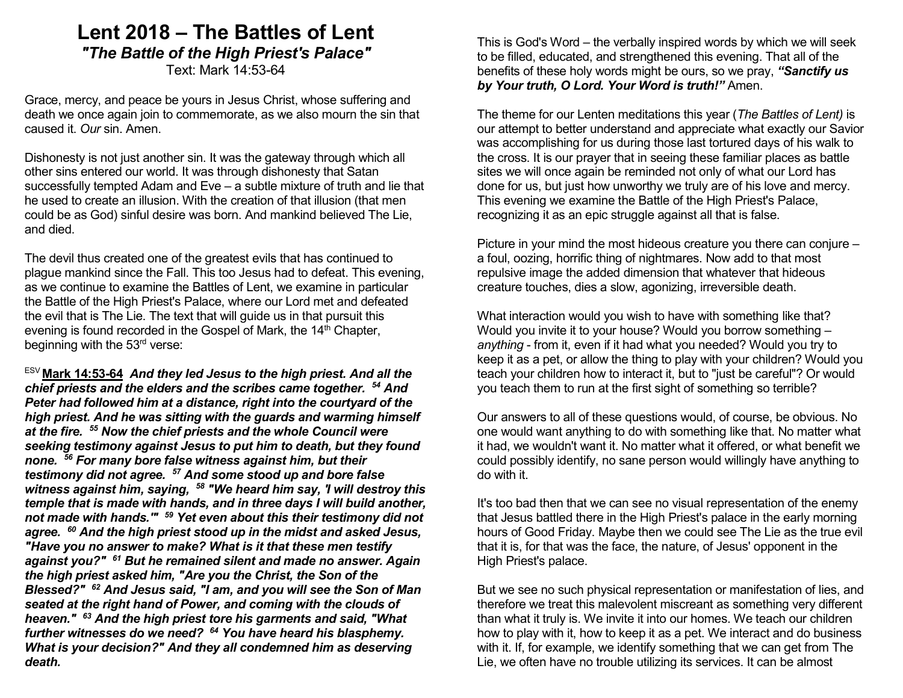# Lent 2018 – The Battles of Lent "The Battle of the High Priest's Palace" Text: Mark 14:53-64

Grace, mercy, and peace be yours in Jesus Christ, whose suffering and death we once again join to commemorate, as we also mourn the sin that caused it. Our sin. Amen.

Dishonesty is not just another sin. It was the gateway through which all other sins entered our world. It was through dishonesty that Satan successfully tempted Adam and Eve – a subtle mixture of truth and lie that he used to create an illusion. With the creation of that illusion (that men could be as God) sinful desire was born. And mankind believed The Lie, and died.

The devil thus created one of the greatest evils that has continued to plague mankind since the Fall. This too Jesus had to defeat. This evening, as we continue to examine the Battles of Lent, we examine in particular the Battle of the High Priest's Palace, where our Lord met and defeated the evil that is The Lie. The text that will guide us in that pursuit this evening is found recorded in the Gospel of Mark, the  $14<sup>th</sup>$  Chapter, beginning with the 53<sup>rd</sup> verse:

 $ESV$  Mark 14:53-64 And they led Jesus to the high priest. And all the chief priests and the elders and the scribes came together. <sup>54</sup> And Peter had followed him at a distance, right into the courtyard of the high priest. And he was sitting with the guards and warming himself at the fire. <sup>55</sup> Now the chief priests and the whole Council were seeking testimony against Jesus to put him to death, but they found none. <sup>56</sup> For many bore false witness against him, but their testimony did not agree. <sup>57</sup> And some stood up and bore false witness against him, saying,  $58$  "We heard him say, 'I will destroy this temple that is made with hands, and in three days I will build another, not made with hands." <sup>59</sup> Yet even about this their testimony did not agree.  $60$  And the high priest stood up in the midst and asked Jesus, "Have you no answer to make? What is it that these men testify against you?" <sup>61</sup> But he remained silent and made no answer. Again the high priest asked him, "Are you the Christ, the Son of the Blessed?" <sup>62</sup> And Jesus said, "I am, and you will see the Son of Man seated at the right hand of Power, and coming with the clouds of heaven." <sup>63</sup> And the high priest tore his garments and said, "What further witnesses do we need? <sup>64</sup> You have heard his blasphemy. What is your decision?" And they all condemned him as deserving death.

This is God's Word – the verbally inspired words by which we will seek to be filled, educated, and strengthened this evening. That all of the benefits of these holy words might be ours, so we pray, "Sanctify us by Your truth, O Lord. Your Word is truth!" Amen.

The theme for our Lenten meditations this year (The Battles of Lent) is our attempt to better understand and appreciate what exactly our Savior was accomplishing for us during those last tortured days of his walk to the cross. It is our prayer that in seeing these familiar places as battle sites we will once again be reminded not only of what our Lord has done for us, but just how unworthy we truly are of his love and mercy. This evening we examine the Battle of the High Priest's Palace, recognizing it as an epic struggle against all that is false.

Picture in your mind the most hideous creature you there can conjure – a foul, oozing, horrific thing of nightmares. Now add to that most repulsive image the added dimension that whatever that hideous creature touches, dies a slow, agonizing, irreversible death.

What interaction would you wish to have with something like that? Would you invite it to your house? Would you borrow something – anything - from it, even if it had what you needed? Would you try to keep it as a pet, or allow the thing to play with your children? Would you teach your children how to interact it, but to "just be careful"? Or would you teach them to run at the first sight of something so terrible?

Our answers to all of these questions would, of course, be obvious. No one would want anything to do with something like that. No matter what it had, we wouldn't want it. No matter what it offered, or what benefit we could possibly identify, no sane person would willingly have anything to do with it.

It's too bad then that we can see no visual representation of the enemy that Jesus battled there in the High Priest's palace in the early morning hours of Good Friday. Maybe then we could see The Lie as the true evil that it is, for that was the face, the nature, of Jesus' opponent in the High Priest's palace.

But we see no such physical representation or manifestation of lies, and therefore we treat this malevolent miscreant as something very different than what it truly is. We invite it into our homes. We teach our children how to play with it, how to keep it as a pet. We interact and do business with it. If, for example, we identify something that we can get from The Lie, we often have no trouble utilizing its services. It can be almost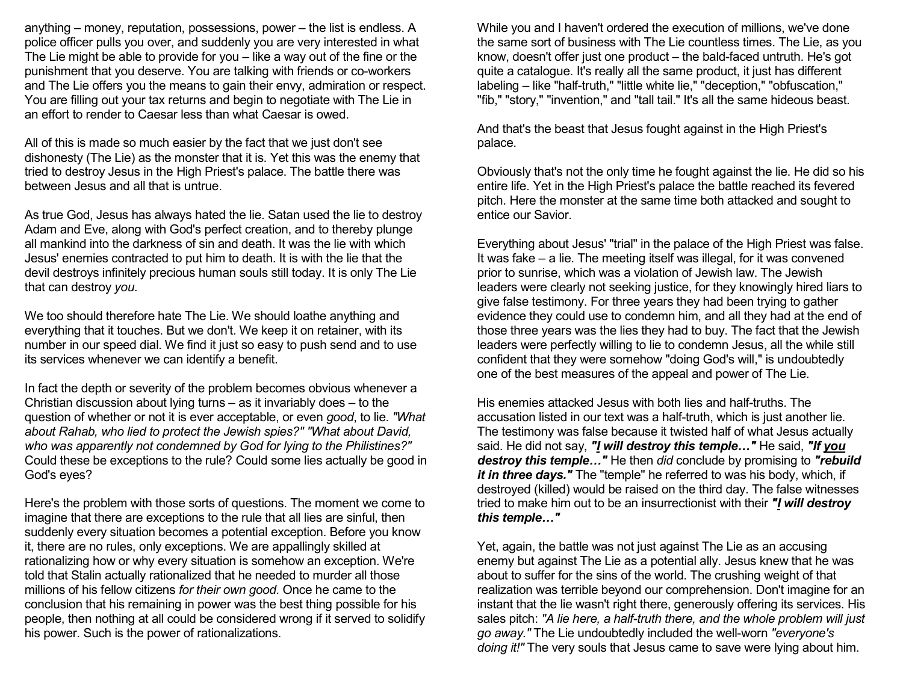anything – money, reputation, possessions, power – the list is endless. A police officer pulls you over, and suddenly you are very interested in what The Lie might be able to provide for you – like a way out of the fine or the punishment that you deserve. You are talking with friends or co-workers and The Lie offers you the means to gain their envy, admiration or respect. You are filling out your tax returns and begin to negotiate with The Lie in an effort to render to Caesar less than what Caesar is owed.

All of this is made so much easier by the fact that we just don't see dishonesty (The Lie) as the monster that it is. Yet this was the enemy that tried to destroy Jesus in the High Priest's palace. The battle there was between Jesus and all that is untrue.

As true God, Jesus has always hated the lie. Satan used the lie to destroy Adam and Eve, along with God's perfect creation, and to thereby plunge all mankind into the darkness of sin and death. It was the lie with which Jesus' enemies contracted to put him to death. It is with the lie that the devil destroys infinitely precious human souls still today. It is only The Lie that can destroy you.

We too should therefore hate The Lie. We should loathe anything and everything that it touches. But we don't. We keep it on retainer, with its number in our speed dial. We find it just so easy to push send and to use its services whenever we can identify a benefit.

In fact the depth or severity of the problem becomes obvious whenever a Christian discussion about lying turns – as it invariably does – to the question of whether or not it is ever acceptable, or even good, to lie. "What about Rahab, who lied to protect the Jewish spies?" "What about David, who was apparently not condemned by God for lying to the Philistines?" Could these be exceptions to the rule? Could some lies actually be good in God's eyes?

Here's the problem with those sorts of questions. The moment we come to imagine that there are exceptions to the rule that all lies are sinful, then suddenly every situation becomes a potential exception. Before you know it, there are no rules, only exceptions. We are appallingly skilled at rationalizing how or why every situation is somehow an exception. We're told that Stalin actually rationalized that he needed to murder all those millions of his fellow citizens for their own good. Once he came to the conclusion that his remaining in power was the best thing possible for his people, then nothing at all could be considered wrong if it served to solidify his power. Such is the power of rationalizations.

While you and I haven't ordered the execution of millions, we've done the same sort of business with The Lie countless times. The Lie, as you know, doesn't offer just one product – the bald-faced untruth. He's got quite a catalogue. It's really all the same product, it just has different labeling – like "half-truth," "little white lie," "deception," "obfuscation," "fib," "story," "invention," and "tall tail." It's all the same hideous beast.

And that's the beast that Jesus fought against in the High Priest's palace.

Obviously that's not the only time he fought against the lie. He did so his entire life. Yet in the High Priest's palace the battle reached its fevered pitch. Here the monster at the same time both attacked and sought to entice our Savior.

Everything about Jesus' "trial" in the palace of the High Priest was false. It was fake – a lie. The meeting itself was illegal, for it was convened prior to sunrise, which was a violation of Jewish law. The Jewish leaders were clearly not seeking justice, for they knowingly hired liars to give false testimony. For three years they had been trying to gather evidence they could use to condemn him, and all they had at the end of those three years was the lies they had to buy. The fact that the Jewish leaders were perfectly willing to lie to condemn Jesus, all the while still confident that they were somehow "doing God's will," is undoubtedly one of the best measures of the appeal and power of The Lie.

His enemies attacked Jesus with both lies and half-truths. The accusation listed in our text was a half-truth, which is just another lie. The testimony was false because it twisted half of what Jesus actually said. He did not say, "I will destroy this temple..." He said, "If you destroy this temple..." He then did conclude by promising to "rebuild it in three days." The "temple" he referred to was his body, which, if destroyed (killed) would be raised on the third day. The false witnesses tried to make him out to be an insurrectionist with their "I will destroy this temple…"

Yet, again, the battle was not just against The Lie as an accusing enemy but against The Lie as a potential ally. Jesus knew that he was about to suffer for the sins of the world. The crushing weight of that realization was terrible beyond our comprehension. Don't imagine for an instant that the lie wasn't right there, generously offering its services. His sales pitch: "A lie here, a half-truth there, and the whole problem will just go away." The Lie undoubtedly included the well-worn "everyone's doing it!" The very souls that Jesus came to save were lying about him.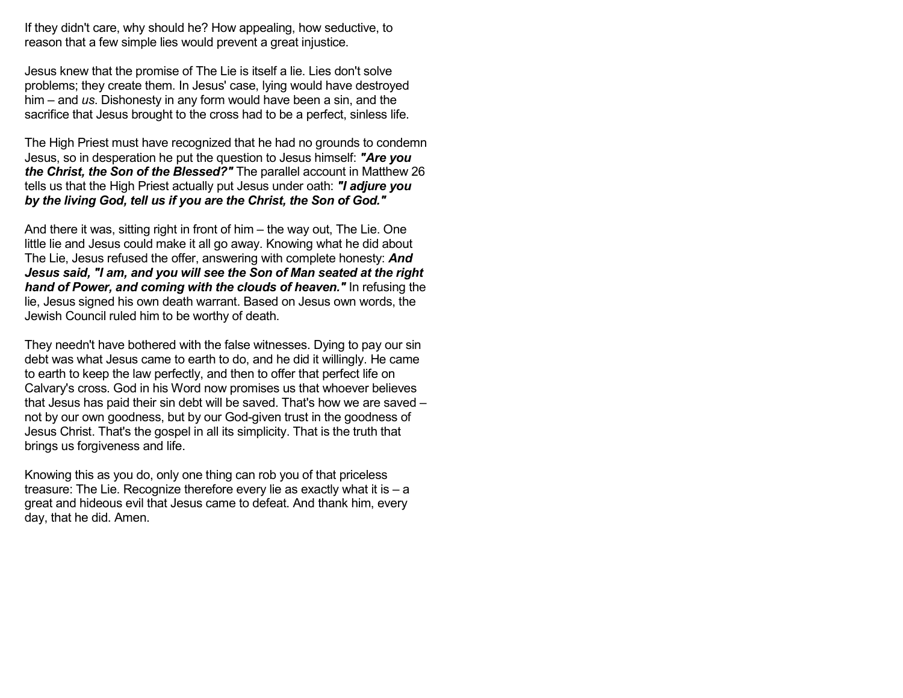If they didn't care, why should he? How appealing, how seductive, to reason that a few simple lies would prevent a great injustice.

Jesus knew that the promise of The Lie is itself a lie. Lies don't solve problems; they create them. In Jesus' case, lying would have destroyed him – and  $\mu$ s. Dishonesty in any form would have been a sin, and the sacrifice that Jesus brought to the cross had to be a perfect, sinless life.

The High Priest must have recognized that he had no grounds to condemn Jesus, so in desperation he put the question to Jesus himself: "Are you the Christ, the Son of the Blessed?" The parallel account in Matthew 26 tells us that the High Priest actually put Jesus under oath: "I adjure you by the living God, tell us if you are the Christ, the Son of God."

And there it was, sitting right in front of him – the way out, The Lie. One little lie and Jesus could make it all go away. Knowing what he did about The Lie, Jesus refused the offer, answering with complete honesty: And Jesus said, "I am, and you will see the Son of Man seated at the right hand of Power, and coming with the clouds of heaven." In refusing the lie, Jesus signed his own death warrant. Based on Jesus own words, the Jewish Council ruled him to be worthy of death.

They needn't have bothered with the false witnesses. Dying to pay our sin debt was what Jesus came to earth to do, and he did it willingly. He came to earth to keep the law perfectly, and then to offer that perfect life on Calvary's cross. God in his Word now promises us that whoever believes that Jesus has paid their sin debt will be saved. That's how we are saved – not by our own goodness, but by our God-given trust in the goodness of Jesus Christ. That's the gospel in all its simplicity. That is the truth that brings us forgiveness and life.

Knowing this as you do, only one thing can rob you of that priceless treasure: The Lie. Recognize therefore every lie as exactly what it is – a great and hideous evil that Jesus came to defeat. And thank him, every day, that he did. Amen.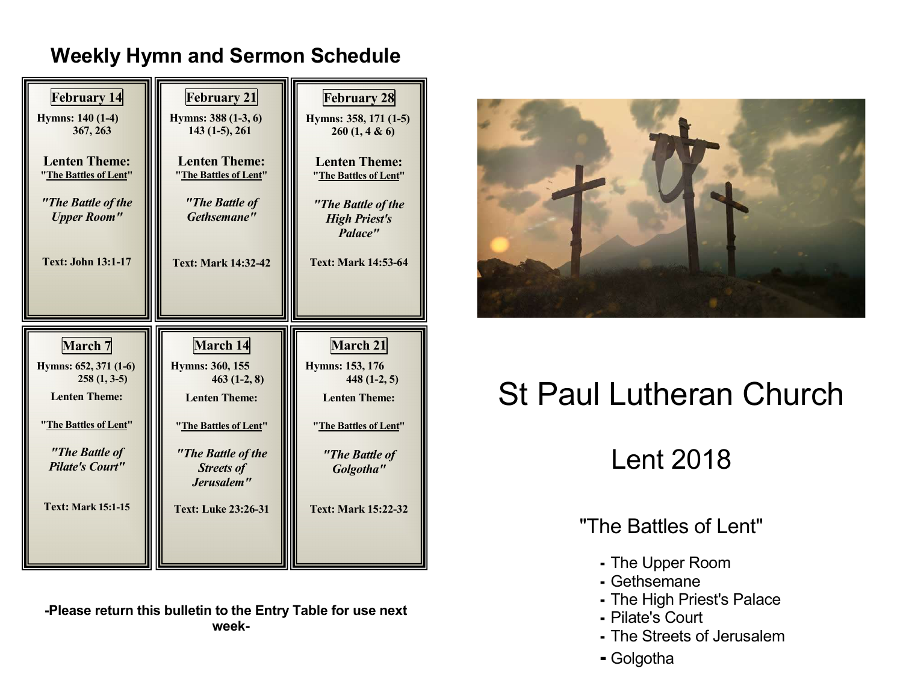# Weekly Hymn and Sermon Schedule



-Please return this bulletin to the Entry Table for use next week-



# St Paul Lutheran Church

Lent 2018

"The Battles of Lent"

- The Upper Room
- Gethsemane
- The High Priest's Palace
- Pilate's Court
- The Streets of Jerusalem
- Golgotha